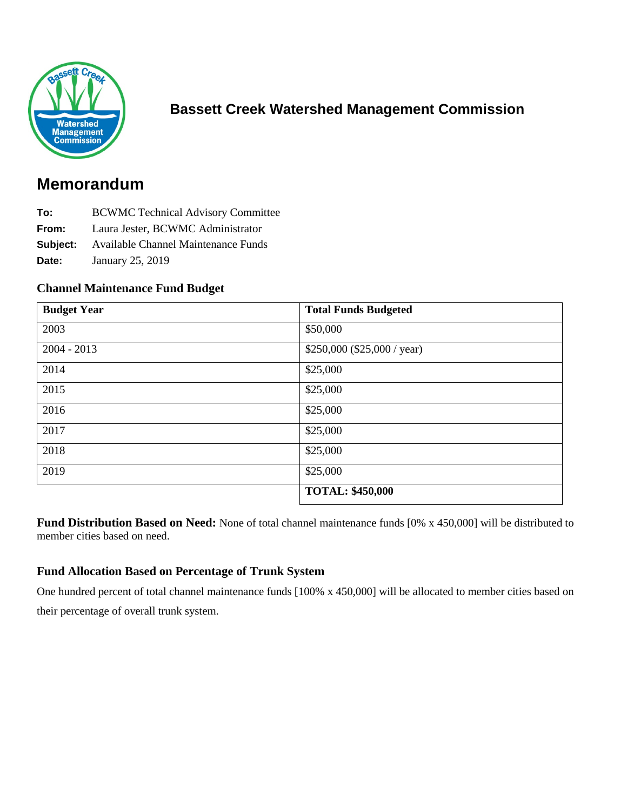

# **Bassett Creek Watershed Management Commission**

# **Memorandum**

- **To:** BCWMC Technical Advisory Committee
- **From:** Laura Jester, BCWMC Administrator
- **Subject:** Available Channel Maintenance Funds
- **Date:** January 25, 2019

#### **Channel Maintenance Fund Budget**

| <b>Budget Year</b> | <b>Total Funds Budgeted</b>  |
|--------------------|------------------------------|
| 2003               | \$50,000                     |
| $2004 - 2013$      | $$250,000$ (\$25,000 / year) |
| 2014               | \$25,000                     |
| 2015               | \$25,000                     |
| 2016               | \$25,000                     |
| 2017               | \$25,000                     |
| 2018               | \$25,000                     |
| 2019               | \$25,000                     |
|                    | <b>TOTAL: \$450,000</b>      |

**Fund Distribution Based on Need:** None of total channel maintenance funds [0% x 450,000] will be distributed to member cities based on need.

### **Fund Allocation Based on Percentage of Trunk System**

One hundred percent of total channel maintenance funds [100% x 450,000] will be allocated to member cities based on their percentage of overall trunk system.